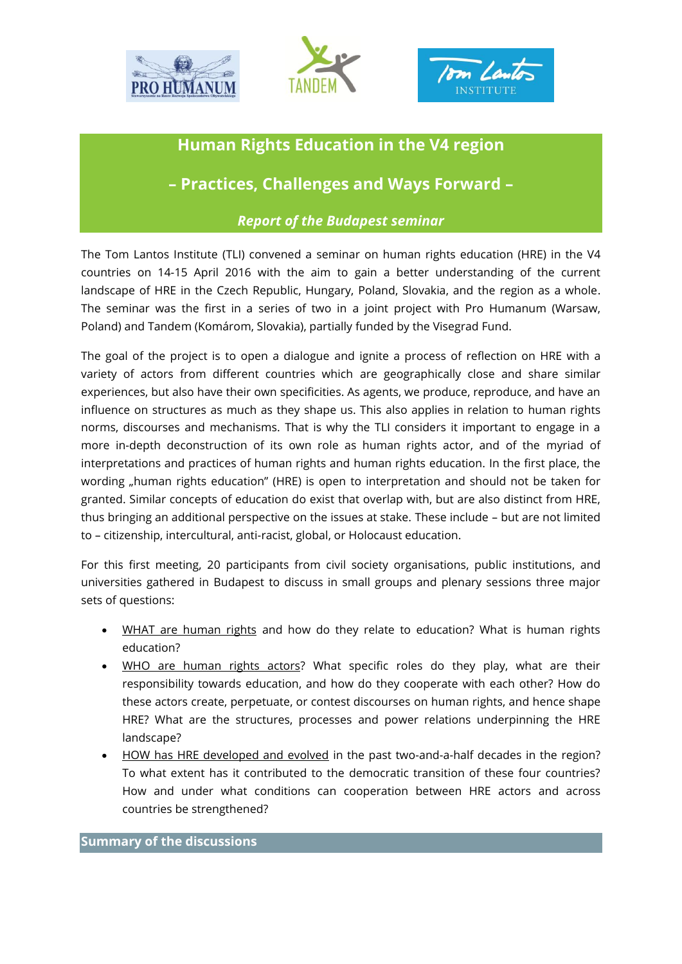





## **Human Rights Education in the V4 region**

**– Practices, Challenges and Ways Forward –**

## *Report of the Budapest seminar*

The Tom Lantos Institute (TLI) convened a seminar on human rights education (HRE) in the V4 countries on 14-15 April 2016 with the aim to gain a better understanding of the current landscape of HRE in the Czech Republic, Hungary, Poland, Slovakia, and the region as a whole. The seminar was the first in a series of two in a joint project with Pro Humanum (Warsaw, Poland) and Tandem (Komárom, Slovakia), partially funded by the Visegrad Fund.

The goal of the project is to open a dialogue and ignite a process of reflection on HRE with a variety of actors from different countries which are geographically close and share similar experiences, but also have their own specificities. As agents, we produce, reproduce, and have an influence on structures as much as they shape us. This also applies in relation to human rights norms, discourses and mechanisms. That is why the TLI considers it important to engage in a more in-depth deconstruction of its own role as human rights actor, and of the myriad of interpretations and practices of human rights and human rights education. In the first place, the wording "human rights education" (HRE) is open to interpretation and should not be taken for granted. Similar concepts of education do exist that overlap with, but are also distinct from HRE, thus bringing an additional perspective on the issues at stake. These include – but are not limited to – citizenship, intercultural, anti-racist, global, or Holocaust education.

For this first meeting, 20 participants from civil society organisations, public institutions, and universities gathered in Budapest to discuss in small groups and plenary sessions three major sets of questions:

- WHAT are human rights and how do they relate to education? What is human rights education?
- WHO are human rights actors? What specific roles do they play, what are their responsibility towards education, and how do they cooperate with each other? How do these actors create, perpetuate, or contest discourses on human rights, and hence shape HRE? What are the structures, processes and power relations underpinning the HRE landscape?
- HOW has HRE developed and evolved in the past two-and-a-half decades in the region? To what extent has it contributed to the democratic transition of these four countries? How and under what conditions can cooperation between HRE actors and across countries be strengthened?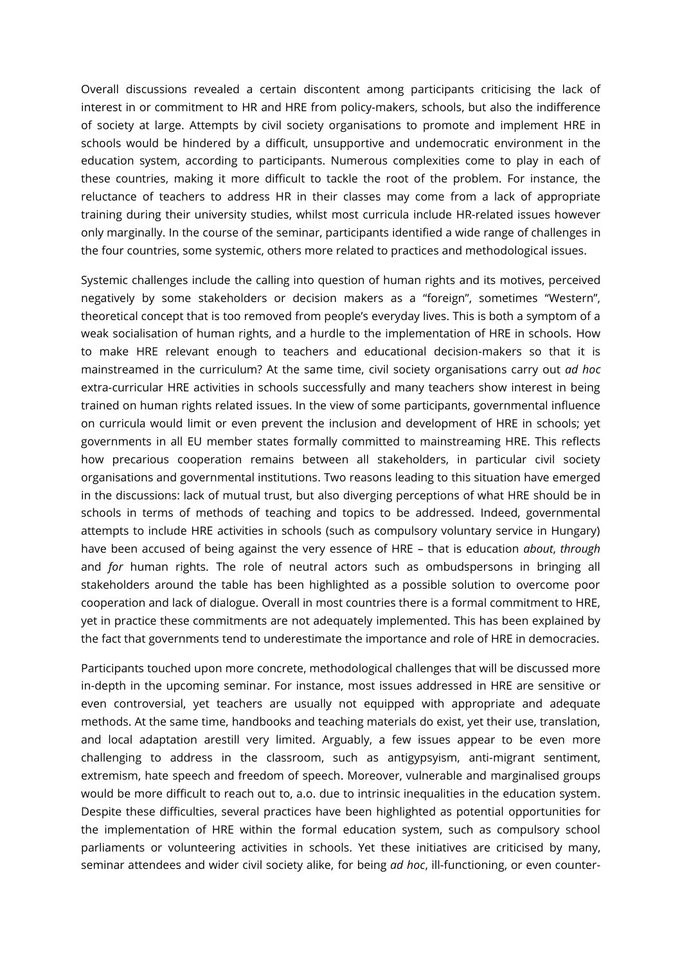Overall discussions revealed a certain discontent among participants criticising the lack of interest in or commitment to HR and HRE from policy-makers, schools, but also the indifference of society at large. Attempts by civil society organisations to promote and implement HRE in schools would be hindered by a difficult, unsupportive and undemocratic environment in the education system, according to participants. Numerous complexities come to play in each of these countries, making it more difficult to tackle the root of the problem. For instance, the reluctance of teachers to address HR in their classes may come from a lack of appropriate training during their university studies, whilst most curricula include HR-related issues however only marginally. In the course of the seminar, participants identified a wide range of challenges in the four countries, some systemic, others more related to practices and methodological issues.

Systemic challenges include the calling into question of human rights and its motives, perceived negatively by some stakeholders or decision makers as a "foreign", sometimes "Western", theoretical concept that is too removed from people's everyday lives. This is both a symptom of a weak socialisation of human rights, and a hurdle to the implementation of HRE in schools. How to make HRE relevant enough to teachers and educational decision-makers so that it is mainstreamed in the curriculum? At the same time, civil society organisations carry out *ad hoc*  extra-curricular HRE activities in schools successfully and many teachers show interest in being trained on human rights related issues. In the view of some participants, governmental influence on curricula would limit or even prevent the inclusion and development of HRE in schools; yet governments in all EU member states formally committed to mainstreaming HRE. This reflects how precarious cooperation remains between all stakeholders, in particular civil society organisations and governmental institutions. Two reasons leading to this situation have emerged in the discussions: lack of mutual trust, but also diverging perceptions of what HRE should be in schools in terms of methods of teaching and topics to be addressed. Indeed, governmental attempts to include HRE activities in schools (such as compulsory voluntary service in Hungary) have been accused of being against the very essence of HRE – that is education *about*, *through* and *for* human rights. The role of neutral actors such as ombudspersons in bringing all stakeholders around the table has been highlighted as a possible solution to overcome poor cooperation and lack of dialogue. Overall in most countries there is a formal commitment to HRE, yet in practice these commitments are not adequately implemented. This has been explained by the fact that governments tend to underestimate the importance and role of HRE in democracies.

Participants touched upon more concrete, methodological challenges that will be discussed more in-depth in the upcoming seminar. For instance, most issues addressed in HRE are sensitive or even controversial, yet teachers are usually not equipped with appropriate and adequate methods. At the same time, handbooks and teaching materials do exist, yet their use, translation, and local adaptation arestill very limited. Arguably, a few issues appear to be even more challenging to address in the classroom, such as antigypsyism, anti-migrant sentiment, extremism, hate speech and freedom of speech. Moreover, vulnerable and marginalised groups would be more difficult to reach out to, a.o. due to intrinsic inequalities in the education system. Despite these difficulties, several practices have been highlighted as potential opportunities for the implementation of HRE within the formal education system, such as compulsory school parliaments or volunteering activities in schools. Yet these initiatives are criticised by many, seminar attendees and wider civil society alike, for being *ad hoc*, ill-functioning, or even counter